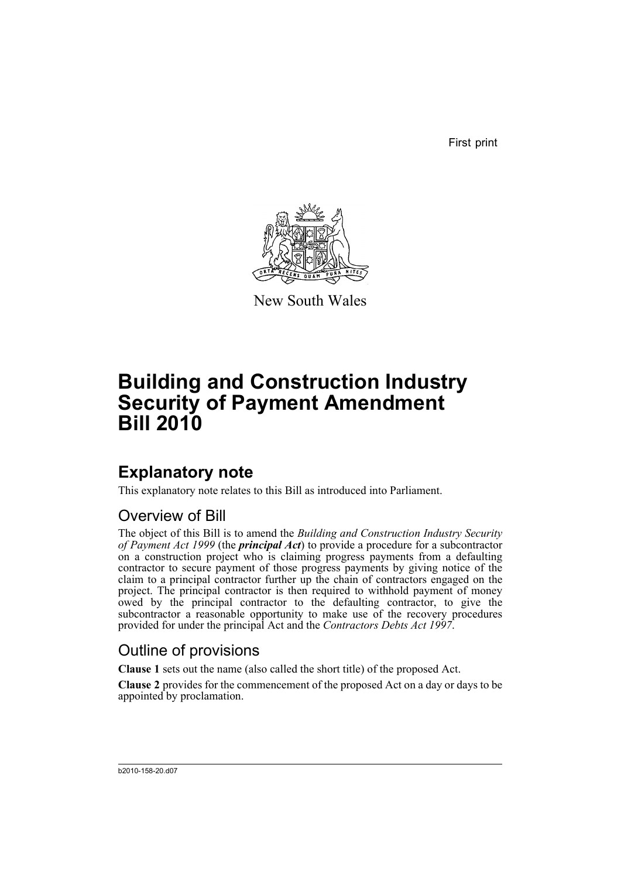First print



New South Wales

# **Building and Construction Industry Security of Payment Amendment Bill 2010**

# **Explanatory note**

This explanatory note relates to this Bill as introduced into Parliament.

### Overview of Bill

The object of this Bill is to amend the *Building and Construction Industry Security of Payment Act 1999* (the *principal Act*) to provide a procedure for a subcontractor on a construction project who is claiming progress payments from a defaulting contractor to secure payment of those progress payments by giving notice of the claim to a principal contractor further up the chain of contractors engaged on the project. The principal contractor is then required to withhold payment of money owed by the principal contractor to the defaulting contractor, to give the subcontractor a reasonable opportunity to make use of the recovery procedures provided for under the principal Act and the *Contractors Debts Act 1997*.

### Outline of provisions

**Clause 1** sets out the name (also called the short title) of the proposed Act.

**Clause 2** provides for the commencement of the proposed Act on a day or days to be appointed by proclamation.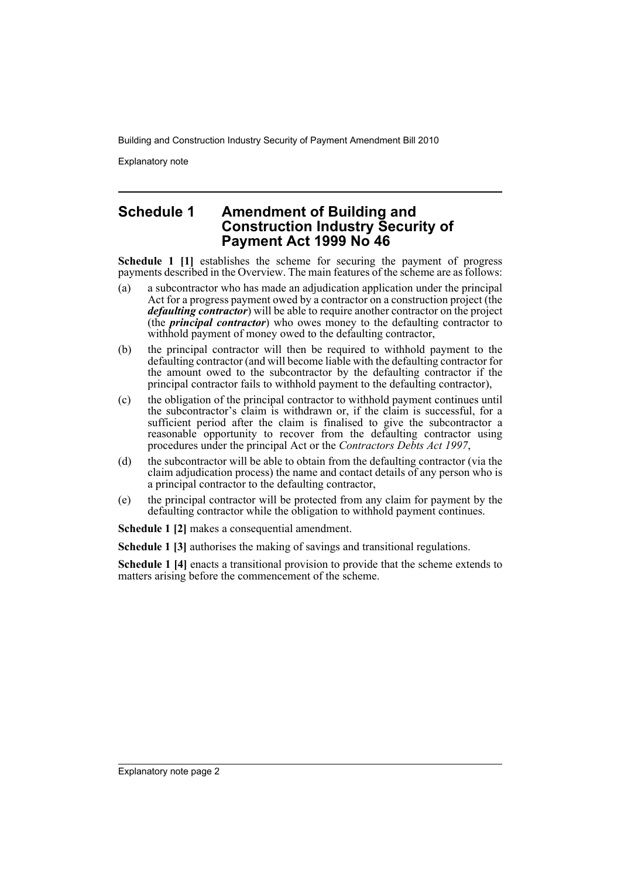Explanatory note

### **Schedule 1 Amendment of Building and Construction Industry Security of Payment Act 1999 No 46**

**Schedule 1 [1]** establishes the scheme for securing the payment of progress payments described in the Overview. The main features of the scheme are as follows:

- (a) a subcontractor who has made an adjudication application under the principal Act for a progress payment owed by a contractor on a construction project (the *defaulting contractor*) will be able to require another contractor on the project (the *principal contractor*) who owes money to the defaulting contractor to withhold payment of money owed to the defaulting contractor,
- (b) the principal contractor will then be required to withhold payment to the defaulting contractor (and will become liable with the defaulting contractor for the amount owed to the subcontractor by the defaulting contractor if the principal contractor fails to withhold payment to the defaulting contractor),
- (c) the obligation of the principal contractor to withhold payment continues until the subcontractor's claim is withdrawn or, if the claim is successful, for a sufficient period after the claim is finalised to give the subcontractor a reasonable opportunity to recover from the defaulting contractor using procedures under the principal Act or the *Contractors Debts Act 1997*,
- (d) the subcontractor will be able to obtain from the defaulting contractor (via the claim adjudication process) the name and contact details of any person who is a principal contractor to the defaulting contractor,
- (e) the principal contractor will be protected from any claim for payment by the defaulting contractor while the obligation to withhold payment continues.

**Schedule 1 [2]** makes a consequential amendment.

**Schedule 1 [3]** authorises the making of savings and transitional regulations.

**Schedule 1 [4]** enacts a transitional provision to provide that the scheme extends to matters arising before the commencement of the scheme.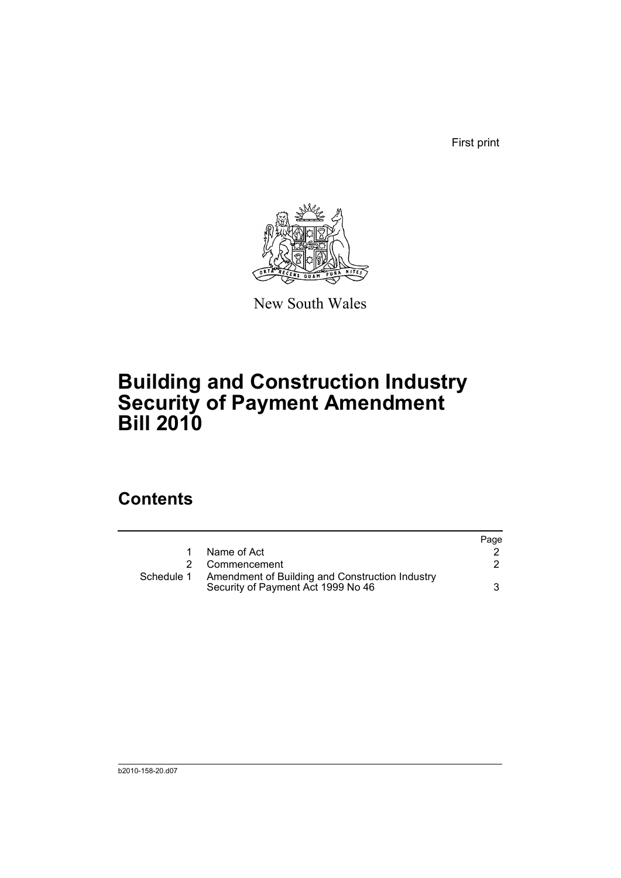First print



New South Wales

# **Building and Construction Industry Security of Payment Amendment Bill 2010**

## **Contents**

|            |                                                                                       | Page |
|------------|---------------------------------------------------------------------------------------|------|
|            | Name of Act                                                                           |      |
|            | Commencement                                                                          |      |
| Schedule 1 | Amendment of Building and Construction Industry<br>Security of Payment Act 1999 No 46 | 3    |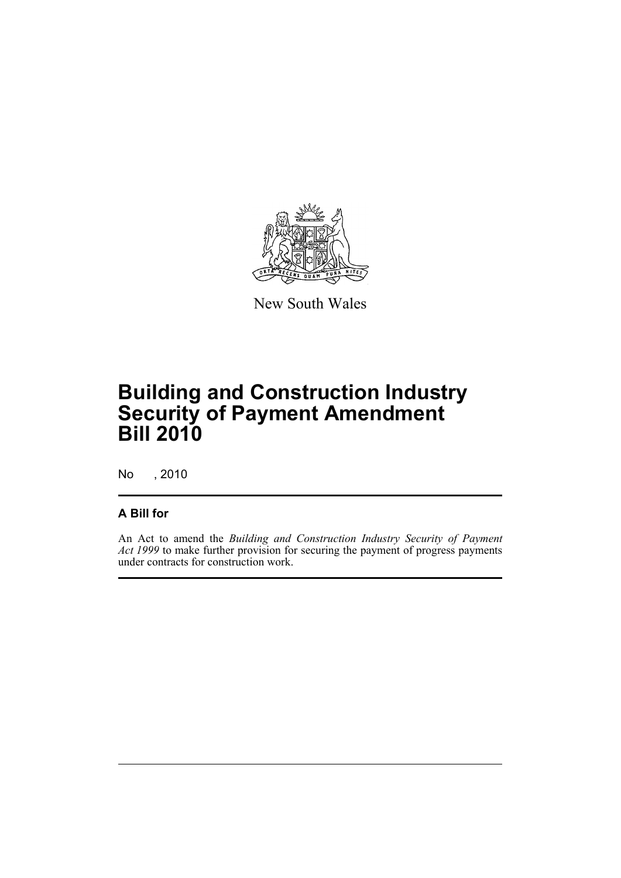

New South Wales

# **Building and Construction Industry Security of Payment Amendment Bill 2010**

No , 2010

### **A Bill for**

An Act to amend the *Building and Construction Industry Security of Payment Act 1999* to make further provision for securing the payment of progress payments under contracts for construction work.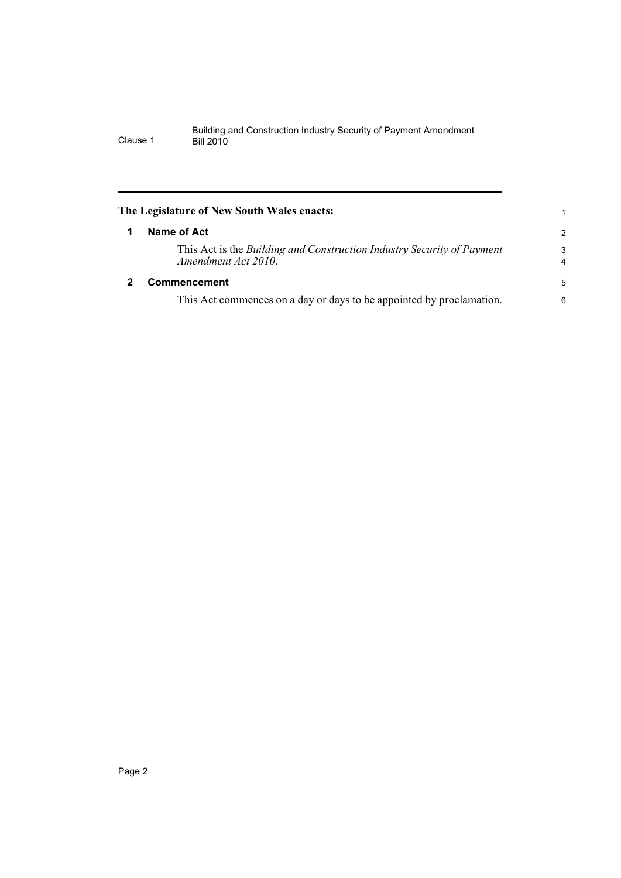<span id="page-5-1"></span><span id="page-5-0"></span>

| The Legislature of New South Wales enacts:                                                    |                     |
|-----------------------------------------------------------------------------------------------|---------------------|
| Name of Act                                                                                   | $\overline{2}$      |
| This Act is the Building and Construction Industry Security of Payment<br>Amendment Act 2010. | 3<br>$\overline{4}$ |
| <b>Commencement</b>                                                                           | 5                   |
| This Act commences on a day or days to be appointed by proclamation.                          | 6                   |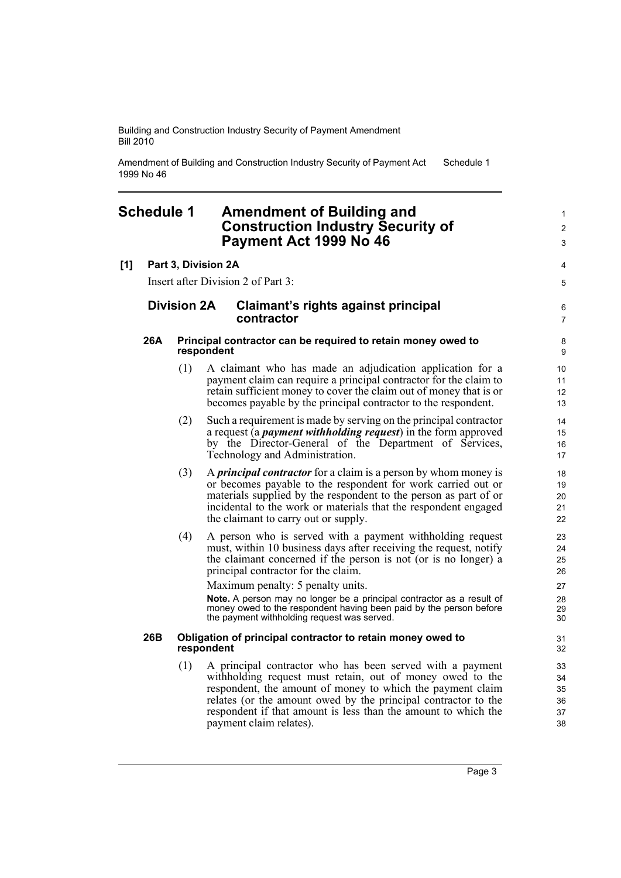Amendment of Building and Construction Industry Security of Payment Act 1999 No 46 Schedule 1

### <span id="page-6-0"></span>**Schedule 1 Amendment of Building and Construction Industry Security of Payment Act 1999 No 46**

#### **[1] Part 3, Division 2A**

Insert after Division 2 of Part 3:

#### **Division 2A Claimant's rights against principal contractor**

#### **26A Principal contractor can be required to retain money owed to respondent**

- (1) A claimant who has made an adjudication application for a payment claim can require a principal contractor for the claim to retain sufficient money to cover the claim out of money that is or becomes payable by the principal contractor to the respondent.
- (2) Such a requirement is made by serving on the principal contractor a request (a *payment withholding request*) in the form approved by the Director-General of the Department of Services, Technology and Administration.
- (3) A *principal contractor* for a claim is a person by whom money is or becomes payable to the respondent for work carried out or materials supplied by the respondent to the person as part of or incidental to the work or materials that the respondent engaged the claimant to carry out or supply.
- (4) A person who is served with a payment withholding request must, within 10 business days after receiving the request, notify the claimant concerned if the person is not (or is no longer) a principal contractor for the claim.

Maximum penalty: 5 penalty units.

**Note.** A person may no longer be a principal contractor as a result of money owed to the respondent having been paid by the person before the payment withholding request was served.

#### **26B Obligation of principal contractor to retain money owed to respondent**

(1) A principal contractor who has been served with a payment withholding request must retain, out of money owed to the respondent, the amount of money to which the payment claim relates (or the amount owed by the principal contractor to the respondent if that amount is less than the amount to which the payment claim relates).

1  $\mathfrak{p}$ 3

4 5

6 7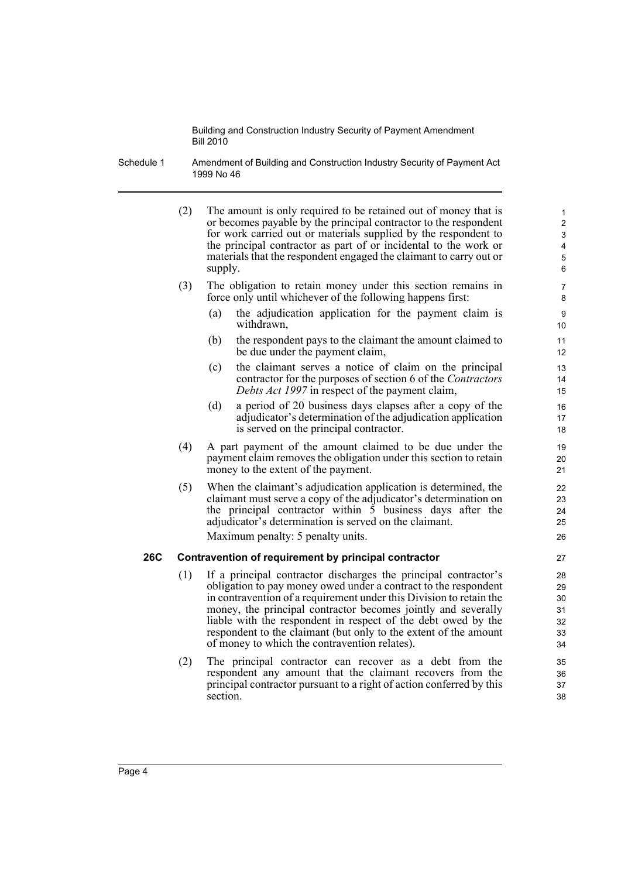Schedule 1 Amendment of Building and Construction Industry Security of Payment Act 1999 No 46

(2) The amount is only required to be retained out of money that is or becomes payable by the principal contractor to the respondent for work carried out or materials supplied by the respondent to the principal contractor as part of or incidental to the work or materials that the respondent engaged the claimant to carry out or supply. (3) The obligation to retain money under this section remains in force only until whichever of the following happens first: (a) the adjudication application for the payment claim is withdrawn, (b) the respondent pays to the claimant the amount claimed to be due under the payment claim, (c) the claimant serves a notice of claim on the principal contractor for the purposes of section 6 of the *Contractors Debts Act 1997* in respect of the payment claim, (d) a period of 20 business days elapses after a copy of the adjudicator's determination of the adjudication application is served on the principal contractor. (4) A part payment of the amount claimed to be due under the payment claim removes the obligation under this section to retain money to the extent of the payment. (5) When the claimant's adjudication application is determined, the claimant must serve a copy of the adjudicator's determination on the principal contractor within  $\overline{5}$  business days after the adjudicator's determination is served on the claimant. Maximum penalty: 5 penalty units. **26C Contravention of requirement by principal contractor** (1) If a principal contractor discharges the principal contractor's obligation to pay money owed under a contract to the respondent in contravention of a requirement under this Division to retain the money, the principal contractor becomes jointly and severally liable with the respondent in respect of the debt owed by the respondent to the claimant (but only to the extent of the amount of money to which the contravention relates). (2) The principal contractor can recover as a debt from the respondent any amount that the claimant recovers from the principal contractor pursuant to a right of action conferred by this section. 1  $\overline{2}$ 3 4 5 6 7 8  $\overline{Q}$ 10 11 12 13 14 15 16 17 18 19 20 21 22 23  $24$ 25 26 27 28 29 30 31 32 33 34 35 36 37 38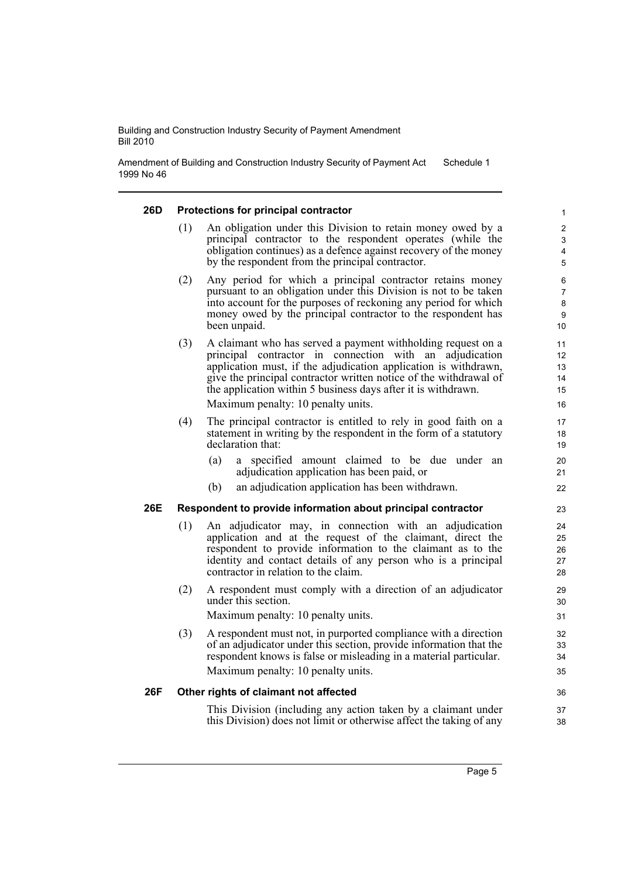Amendment of Building and Construction Industry Security of Payment Act 1999 No 46 Schedule 1

#### **26D Protections for principal contractor** (1) An obligation under this Division to retain money owed by a principal contractor to the respondent operates (while the obligation continues) as a defence against recovery of the money by the respondent from the principal contractor. (2) Any period for which a principal contractor retains money pursuant to an obligation under this Division is not to be taken into account for the purposes of reckoning any period for which money owed by the principal contractor to the respondent has been unpaid. (3) A claimant who has served a payment withholding request on a principal contractor in connection with an adjudication application must, if the adjudication application is withdrawn, give the principal contractor written notice of the withdrawal of the application within 5 business days after it is withdrawn. Maximum penalty: 10 penalty units. (4) The principal contractor is entitled to rely in good faith on a statement in writing by the respondent in the form of a statutory declaration that: (a) a specified amount claimed to be due under an adjudication application has been paid, or (b) an adjudication application has been withdrawn. **26E Respondent to provide information about principal contractor** (1) An adjudicator may, in connection with an adjudication application and at the request of the claimant, direct the respondent to provide information to the claimant as to the identity and contact details of any person who is a principal contractor in relation to the claim. (2) A respondent must comply with a direction of an adjudicator under this section. Maximum penalty: 10 penalty units. (3) A respondent must not, in purported compliance with a direction of an adjudicator under this section, provide information that the respondent knows is false or misleading in a material particular. Maximum penalty: 10 penalty units. **26F Other rights of claimant not affected** This Division (including any action taken by a claimant under this Division) does not limit or otherwise affect the taking of any 1 2 3 4 5 6 7 8 9 10 11 12 13 14 15 16 17 18 19 20 21 22 23 24 25 26 27 28 29 30 31 32 33 34 35 36 37 38